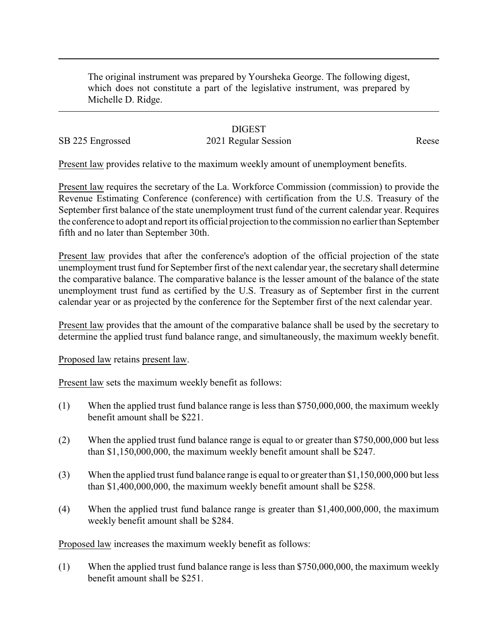The original instrument was prepared by Yoursheka George. The following digest, which does not constitute a part of the legislative instrument, was prepared by Michelle D. Ridge.

## **DIGEST**

## SB 225 Engrossed 2021 Regular Session Reese

Present law provides relative to the maximum weekly amount of unemployment benefits.

Present law requires the secretary of the La. Workforce Commission (commission) to provide the Revenue Estimating Conference (conference) with certification from the U.S. Treasury of the September first balance of the state unemployment trust fund of the current calendar year. Requires the conference to adopt and report its official projection to the commission no earlier than September fifth and no later than September 30th.

Present law provides that after the conference's adoption of the official projection of the state unemployment trust fund for September first of the next calendar year, the secretary shall determine the comparative balance. The comparative balance is the lesser amount of the balance of the state unemployment trust fund as certified by the U.S. Treasury as of September first in the current calendar year or as projected by the conference for the September first of the next calendar year.

Present law provides that the amount of the comparative balance shall be used by the secretary to determine the applied trust fund balance range, and simultaneously, the maximum weekly benefit.

Proposed law retains present law.

Present law sets the maximum weekly benefit as follows:

- (1) When the applied trust fund balance range is less than \$750,000,000, the maximum weekly benefit amount shall be \$221.
- (2) When the applied trust fund balance range is equal to or greater than \$750,000,000 but less than \$1,150,000,000, the maximum weekly benefit amount shall be \$247.
- (3) When the applied trust fund balance range is equal to or greater than \$1,150,000,000 but less than \$1,400,000,000, the maximum weekly benefit amount shall be \$258.
- (4) When the applied trust fund balance range is greater than \$1,400,000,000, the maximum weekly benefit amount shall be \$284.

Proposed law increases the maximum weekly benefit as follows:

(1) When the applied trust fund balance range is less than \$750,000,000, the maximum weekly benefit amount shall be \$251.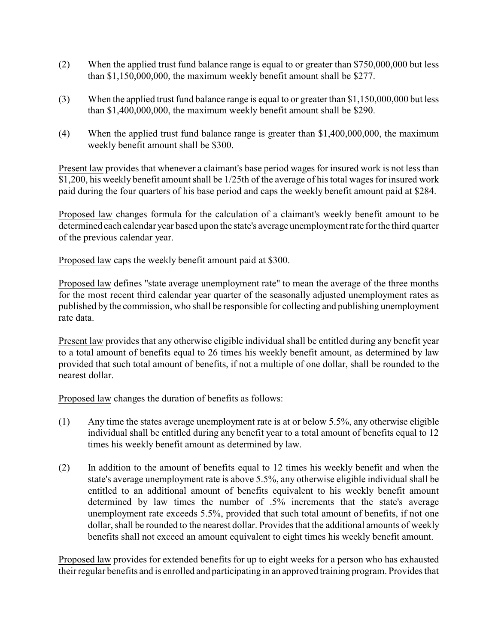- (2) When the applied trust fund balance range is equal to or greater than \$750,000,000 but less than \$1,150,000,000, the maximum weekly benefit amount shall be \$277.
- (3) When the applied trust fund balance range is equal to or greater than \$1,150,000,000 but less than \$1,400,000,000, the maximum weekly benefit amount shall be \$290.
- (4) When the applied trust fund balance range is greater than \$1,400,000,000, the maximum weekly benefit amount shall be \$300.

Present law provides that whenever a claimant's base period wages for insured work is not less than \$1,200, his weekly benefit amount shall be 1/25th of the average of his total wages for insured work paid during the four quarters of his base period and caps the weekly benefit amount paid at \$284.

Proposed law changes formula for the calculation of a claimant's weekly benefit amount to be determined each calendar year based upon the state's average unemployment rate for the third quarter of the previous calendar year.

Proposed law caps the weekly benefit amount paid at \$300.

Proposed law defines "state average unemployment rate" to mean the average of the three months for the most recent third calendar year quarter of the seasonally adjusted unemployment rates as published by the commission, who shall be responsible for collecting and publishing unemployment rate data.

Present law provides that any otherwise eligible individual shall be entitled during any benefit year to a total amount of benefits equal to 26 times his weekly benefit amount, as determined by law provided that such total amount of benefits, if not a multiple of one dollar, shall be rounded to the nearest dollar.

Proposed law changes the duration of benefits as follows:

- (1) Any time the states average unemployment rate is at or below 5.5%, any otherwise eligible individual shall be entitled during any benefit year to a total amount of benefits equal to 12 times his weekly benefit amount as determined by law.
- (2) In addition to the amount of benefits equal to 12 times his weekly benefit and when the state's average unemployment rate is above 5.5%, any otherwise eligible individual shall be entitled to an additional amount of benefits equivalent to his weekly benefit amount determined by law times the number of .5% increments that the state's average unemployment rate exceeds 5.5%, provided that such total amount of benefits, if not one dollar, shall be rounded to the nearest dollar. Provides that the additional amounts of weekly benefits shall not exceed an amount equivalent to eight times his weekly benefit amount.

Proposed law provides for extended benefits for up to eight weeks for a person who has exhausted their regular benefits and is enrolled and participating in an approved training program. Provides that